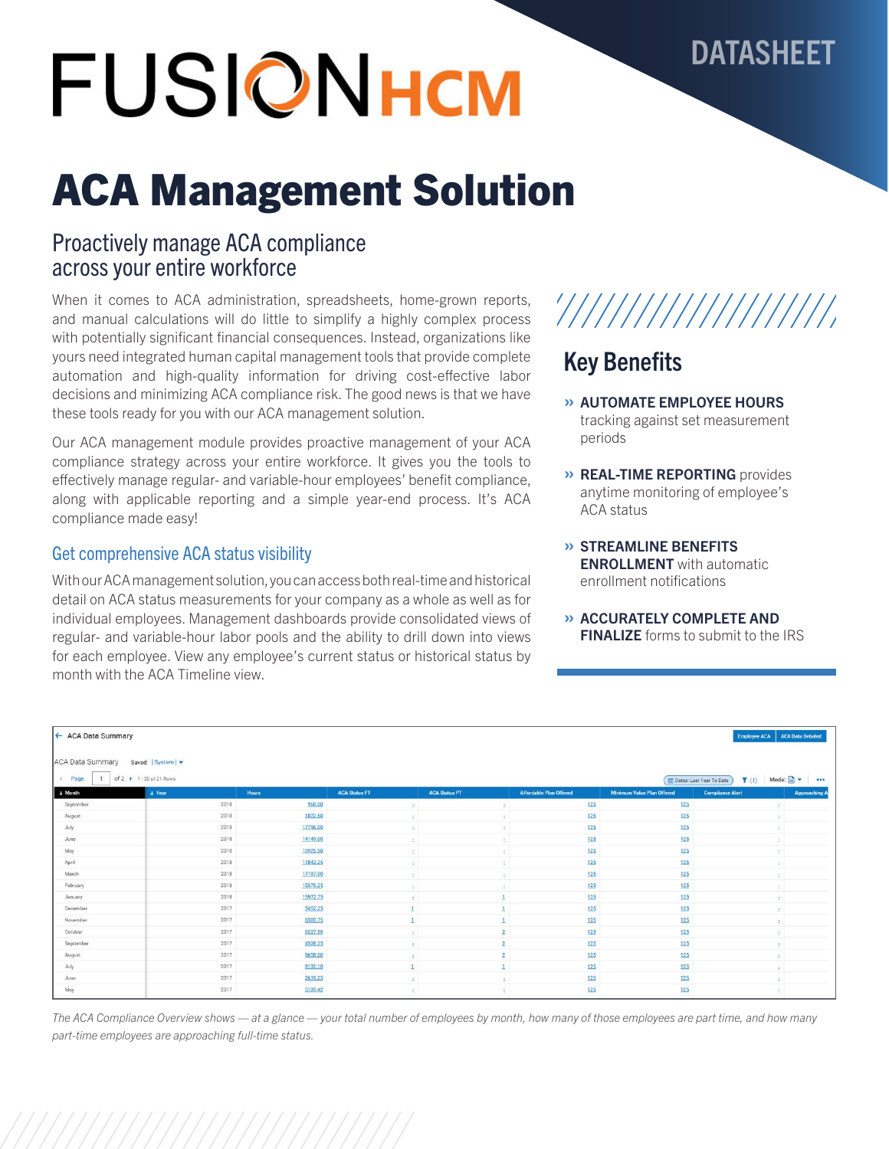# FUSIONHCM

# ACA Management Solution

### Proactively manage ACA compliance across your entire workforce

When it comes to ACA administration, spreadsheets, home-grown reports, and manual calculations will do little to simplify a highly complex process with potentially significant financial consequences. Instead, organizations like yours need integrated human capital management tools that provide complete automation and high-quality information for driving cost-effective labor decisions and minimizing ACA compliance risk. The good news is that we have these tools ready for you with our ACA management solution.

Our ACA management module provides proactive management of your ACA compliance strategy across your entire workforce. It gives you the tools to effectively manage regular- and variable-hour employees' benefit compliance, along with applicable reporting and a simple year-end process. It's ACA compliance made easy!

### Get comprehensive ACA status visibility

With our ACA management solution, you can access both real-time and historical detail on ACA status measurements for your company as a whole as well as for individual employees. Management dashboards provide consolidated views of regular- and variable-hour labor pools and the ability to drill down into views for each employee. View any employee's current status or historical status by month with the ACA Timeline view.

## '///////////////////

DATASHEET

### Key Benefits

- » AUTOMATE EMPLOYEE HOURS tracking against set measurement periods
- » REAL-TIME REPORTING provides anytime monitoring of employee's ACA status
- » STREAMLINE BENEFITS ENROLLMENT with automatic enrollment notifications
- » ACCURATELY COMPLETE AND **FINALIZE** forms to submit to the IRS

| ← ACA Data Summary      |                          |              |                      |                      |                                |                                   | Employee ACA<br><b>ACA Data Detailed</b>                                   |  |
|-------------------------|--------------------------|--------------|----------------------|----------------------|--------------------------------|-----------------------------------|----------------------------------------------------------------------------|--|
| <b>ACA Data Summary</b> | Saved: [System] -        |              |                      |                      |                                |                                   |                                                                            |  |
| e Page                  | of 2 > 1 - 20 of 21 Rows |              |                      |                      |                                |                                   | Mode: $\Box$ $\blacktriangleright$<br>T(1)<br>Dates: Last Year To Date<br> |  |
| + Month                 | $+$ Year                 | <b>Hours</b> | <b>ACA Status FT</b> | <b>ACA Status PT</b> | <b>Affordable Plan Offered</b> | <b>Minimum Value Plan Offered</b> | <b>Compliance Alert</b><br>Approaching                                     |  |
| September               | 2018                     | 968.00       | $\sim$               |                      | 125                            | 125                               | ÷.                                                                         |  |
| August                  | 2018                     | 1822.50      | ÷                    | ж.                   | 125                            | 125                               | ×                                                                          |  |
| July                    | 2018                     | 17796.00     | ÷                    | $\mathcal{L}$        | 125                            | 125                               | ă.                                                                         |  |
| June                    | 2018                     | 14149.00     | ÷                    |                      | 125                            | 125                               | ÷.                                                                         |  |
| May                     | 2018                     | 15925.50     | $\sim$               | $\sim$               | 125                            | 125                               | <b>T.</b>                                                                  |  |
| April                   | 2018                     | 17843.25     | $\mathbb{Z}$         | 12.1                 | 125                            | 125                               | ÷.                                                                         |  |
| March                   | 2018                     | 17197.00     | $\sim$               | $\sim$               | 125                            | 125                               | $\mathcal{L}_{\mathcal{L}}$                                                |  |
| February                | 2018                     | 15375.25     | $\sim$               | 82 L                 | 125                            | 125                               | $\mathcal{L}^{\mathcal{L}}$                                                |  |
| January                 | 2018                     | 15972.75     | $\sim$               |                      | 125                            | 125                               | ÷.                                                                         |  |
| December                | 2017                     | 5452.25      | $\mathbf{I}$         |                      | 125                            | 125                               | $\sigma$                                                                   |  |
| November                | 2017                     | 6300.75      | $\mathbf{1}$         |                      | 125                            | 125                               | ¢.                                                                         |  |
| October                 | 2017                     | 6227.50      | $\sim$               | $\overline{2}$       | 125                            | 125                               | z.                                                                         |  |
| September               | 2017                     | 4528.25      | ÷                    |                      | 125                            | 125                               | ÷.                                                                         |  |
| August                  | 2017                     | 9658.00      | ÷                    | $\overline{2}$       | 125                            | 125                               | $\sim$                                                                     |  |
| July                    | 2017                     | 8132.10      | $\mathbf{1}$         |                      | 125                            | 125                               | $\mathcal{L}_{\mathcal{L}}$                                                |  |
| June                    | 2017                     | 2619.25      | -20                  | 86 L                 | 125                            | 125                               | 91                                                                         |  |
| May                     | 2017                     | 5139.42      | $\sim$               | $\mathcal{L}$        | 125                            | 125                               | æ.                                                                         |  |

*The ACA Compliance Overview shows — at a glance — your total number of employees by month, how many of those employees are part time, and how many part-time employees are approaching full-time status.*